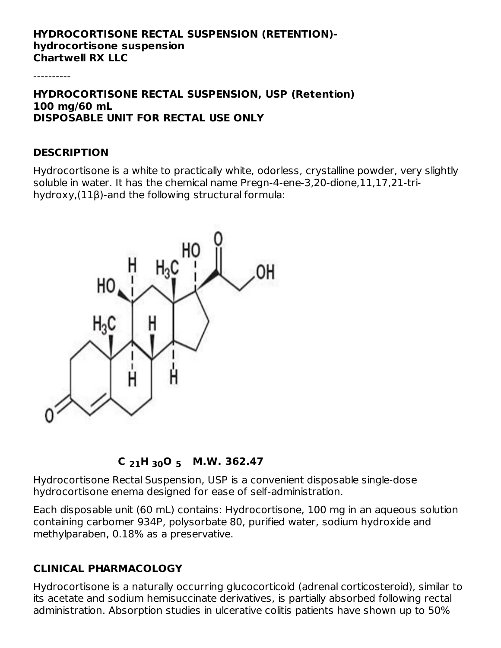#### **HYDROCORTISONE RECTAL SUSPENSION (RETENTION) hydrocortisone suspension Chartwell RX LLC**

----------

#### **HYDROCORTISONE RECTAL SUSPENSION, USP (Retention) 100 mg/60 mL DISPOSABLE UNIT FOR RECTAL USE ONLY**

#### **DESCRIPTION**

Hydrocortisone is a white to practically white, odorless, crystalline powder, very slightly soluble in water. It has the chemical name Pregn-4-ene-3,20-dione,11,17,21-trihydroxy,(11β)-and the following structural formula:



**C H O M.W. 362.47 21 30 5**

Hydrocortisone Rectal Suspension, USP is a convenient disposable single-dose hydrocortisone enema designed for ease of self-administration.

Each disposable unit (60 mL) contains: Hydrocortisone, 100 mg in an aqueous solution containing carbomer 934P, polysorbate 80, purified water, sodium hydroxide and methylparaben, 0.18% as a preservative.

### **CLINICAL PHARMACOLOGY**

Hydrocortisone is a naturally occurring glucocorticoid (adrenal corticosteroid), similar to its acetate and sodium hemisuccinate derivatives, is partially absorbed following rectal administration. Absorption studies in ulcerative colitis patients have shown up to 50%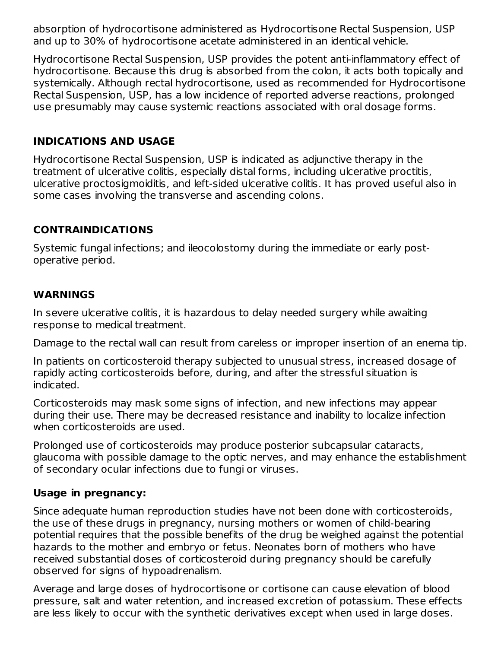absorption of hydrocortisone administered as Hydrocortisone Rectal Suspension, USP and up to 30% of hydrocortisone acetate administered in an identical vehicle.

Hydrocortisone Rectal Suspension, USP provides the potent anti-inflammatory effect of hydrocortisone. Because this drug is absorbed from the colon, it acts both topically and systemically. Although rectal hydrocortisone, used as recommended for Hydrocortisone Rectal Suspension, USP, has a low incidence of reported adverse reactions, prolonged use presumably may cause systemic reactions associated with oral dosage forms.

### **INDICATIONS AND USAGE**

Hydrocortisone Rectal Suspension, USP is indicated as adjunctive therapy in the treatment of ulcerative colitis, especially distal forms, including ulcerative proctitis, ulcerative proctosigmoiditis, and left-sided ulcerative colitis. It has proved useful also in some cases involving the transverse and ascending colons.

### **CONTRAINDICATIONS**

Systemic fungal infections; and ileocolostomy during the immediate or early postoperative period.

### **WARNINGS**

In severe ulcerative colitis, it is hazardous to delay needed surgery while awaiting response to medical treatment.

Damage to the rectal wall can result from careless or improper insertion of an enema tip.

In patients on corticosteroid therapy subjected to unusual stress, increased dosage of rapidly acting corticosteroids before, during, and after the stressful situation is indicated.

Corticosteroids may mask some signs of infection, and new infections may appear during their use. There may be decreased resistance and inability to localize infection when corticosteroids are used.

Prolonged use of corticosteroids may produce posterior subcapsular cataracts, glaucoma with possible damage to the optic nerves, and may enhance the establishment of secondary ocular infections due to fungi or viruses.

### **Usage in pregnancy:**

Since adequate human reproduction studies have not been done with corticosteroids, the use of these drugs in pregnancy, nursing mothers or women of child-bearing potential requires that the possible benefits of the drug be weighed against the potential hazards to the mother and embryo or fetus. Neonates born of mothers who have received substantial doses of corticosteroid during pregnancy should be carefully observed for signs of hypoadrenalism.

Average and large doses of hydrocortisone or cortisone can cause elevation of blood pressure, salt and water retention, and increased excretion of potassium. These effects are less likely to occur with the synthetic derivatives except when used in large doses.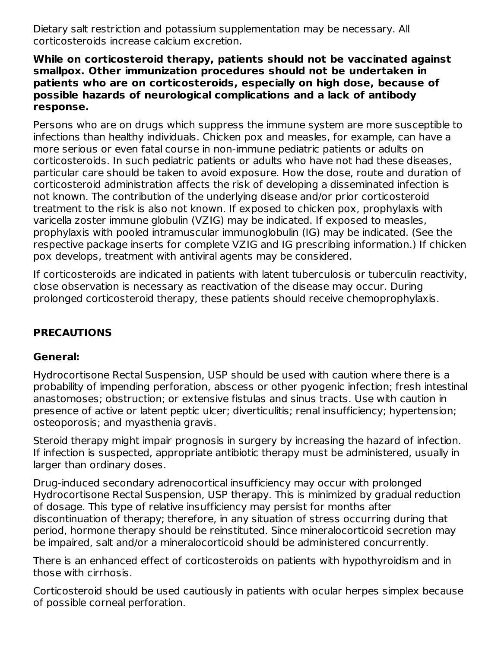Dietary salt restriction and potassium supplementation may be necessary. All corticosteroids increase calcium excretion.

#### **While on corticosteroid therapy, patients should not be vaccinated against smallpox. Other immunization procedures should not be undertaken in patients who are on corticosteroids, especially on high dose, because of possible hazards of neurological complications and a lack of antibody response.**

Persons who are on drugs which suppress the immune system are more susceptible to infections than healthy individuals. Chicken pox and measles, for example, can have a more serious or even fatal course in non-immune pediatric patients or adults on corticosteroids. In such pediatric patients or adults who have not had these diseases, particular care should be taken to avoid exposure. How the dose, route and duration of corticosteroid administration affects the risk of developing a disseminated infection is not known. The contribution of the underlying disease and/or prior corticosteroid treatment to the risk is also not known. If exposed to chicken pox, prophylaxis with varicella zoster immune globulin (VZIG) may be indicated. If exposed to measles, prophylaxis with pooled intramuscular immunoglobulin (IG) may be indicated. (See the respective package inserts for complete VZIG and IG prescribing information.) If chicken pox develops, treatment with antiviral agents may be considered.

If corticosteroids are indicated in patients with latent tuberculosis or tuberculin reactivity, close observation is necessary as reactivation of the disease may occur. During prolonged corticosteroid therapy, these patients should receive chemoprophylaxis.

# **PRECAUTIONS**

### **General:**

Hydrocortisone Rectal Suspension, USP should be used with caution where there is a probability of impending perforation, abscess or other pyogenic infection; fresh intestinal anastomoses; obstruction; or extensive fistulas and sinus tracts. Use with caution in presence of active or latent peptic ulcer; diverticulitis; renal insufficiency; hypertension; osteoporosis; and myasthenia gravis.

Steroid therapy might impair prognosis in surgery by increasing the hazard of infection. If infection is suspected, appropriate antibiotic therapy must be administered, usually in larger than ordinary doses.

Drug-induced secondary adrenocortical insufficiency may occur with prolonged Hydrocortisone Rectal Suspension, USP therapy. This is minimized by gradual reduction of dosage. This type of relative insufficiency may persist for months after discontinuation of therapy; therefore, in any situation of stress occurring during that period, hormone therapy should be reinstituted. Since mineralocorticoid secretion may be impaired, salt and/or a mineralocorticoid should be administered concurrently.

There is an enhanced effect of corticosteroids on patients with hypothyroidism and in those with cirrhosis.

Corticosteroid should be used cautiously in patients with ocular herpes simplex because of possible corneal perforation.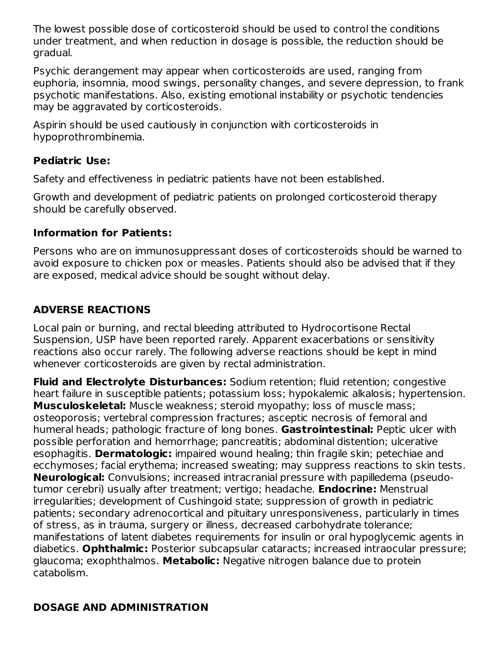The lowest possible dose of corticosteroid should be used to control the conditions under treatment, and when reduction in dosage is possible, the reduction should be gradual.

Psychic derangement may appear when corticosteroids are used, ranging from euphoria, insomnia, mood swings, personality changes, and severe depression, to frank psychotic manifestations. Also, existing emotional instability or psychotic tendencies may be aggravated by corticosteroids.

Aspirin should be used cautiously in conjunction with corticosteroids in hypoprothrombinemia.

# **Pediatric Use:**

Safety and effectiveness in pediatric patients have not been established.

Growth and development of pediatric patients on prolonged corticosteroid therapy should be carefully observed.

### **Information for Patients:**

Persons who are on immunosuppressant doses of corticosteroids should be warned to avoid exposure to chicken pox or measles. Patients should also be advised that if they are exposed, medical advice should be sought without delay.

# **ADVERSE REACTIONS**

Local pain or burning, and rectal bleeding attributed to Hydrocortisone Rectal Suspension, USP have been reported rarely. Apparent exacerbations or sensitivity reactions also occur rarely. The following adverse reactions should be kept in mind whenever corticosteroids are given by rectal administration.

**Fluid and Electrolyte Disturbances:** Sodium retention; fluid retention; congestive heart failure in susceptible patients; potassium loss; hypokalemic alkalosis; hypertension. **Musculoskeletal:** Muscle weakness; steroid myopathy; loss of muscle mass; osteoporosis; vertebral compression fractures; asceptic necrosis of femoral and humeral heads; pathologic fracture of long bones. **Gastrointestinal:** Peptic ulcer with possible perforation and hemorrhage; pancreatitis; abdominal distention; ulcerative esophagitis. **Dermatologic:** impaired wound healing; thin fragile skin; petechiae and ecchymoses; facial erythema; increased sweating; may suppress reactions to skin tests. **Neurological:** Convulsions; increased intracranial pressure with papilledema (pseudotumor cerebri) usually after treatment; vertigo; headache. **Endocrine:** Menstrual irregularities; development of Cushingoid state; suppression of growth in pediatric patients; secondary adrenocortical and pituitary unresponsiveness, particularly in times of stress, as in trauma, surgery or illness, decreased carbohydrate tolerance; manifestations of latent diabetes requirements for insulin or oral hypoglycemic agents in diabetics. **Ophthalmic:** Posterior subcapsular cataracts; increased intraocular pressure; glaucoma; exophthalmos. **Metabolic:** Negative nitrogen balance due to protein catabolism.

# **DOSAGE AND ADMINISTRATION**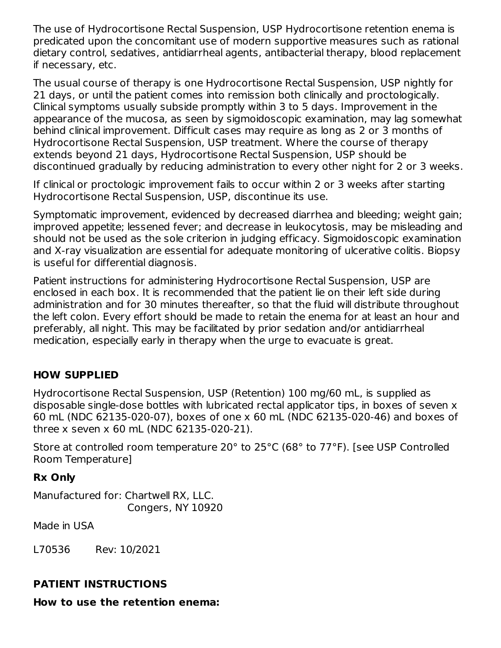The use of Hydrocortisone Rectal Suspension, USP Hydrocortisone retention enema is predicated upon the concomitant use of modern supportive measures such as rational dietary control, sedatives, antidiarrheal agents, antibacterial therapy, blood replacement if necessary, etc.

The usual course of therapy is one Hydrocortisone Rectal Suspension, USP nightly for 21 days, or until the patient comes into remission both clinically and proctologically. Clinical symptoms usually subside promptly within 3 to 5 days. Improvement in the appearance of the mucosa, as seen by sigmoidoscopic examination, may lag somewhat behind clinical improvement. Difficult cases may require as long as 2 or 3 months of Hydrocortisone Rectal Suspension, USP treatment. Where the course of therapy extends beyond 21 days, Hydrocortisone Rectal Suspension, USP should be discontinued gradually by reducing administration to every other night for 2 or 3 weeks.

If clinical or proctologic improvement fails to occur within 2 or 3 weeks after starting Hydrocortisone Rectal Suspension, USP, discontinue its use.

Symptomatic improvement, evidenced by decreased diarrhea and bleeding; weight gain; improved appetite; lessened fever; and decrease in leukocytosis, may be misleading and should not be used as the sole criterion in judging efficacy. Sigmoidoscopic examination and X-ray visualization are essential for adequate monitoring of ulcerative colitis. Biopsy is useful for differential diagnosis.

Patient instructions for administering Hydrocortisone Rectal Suspension, USP are enclosed in each box. It is recommended that the patient lie on their left side during administration and for 30 minutes thereafter, so that the fluid will distribute throughout the left colon. Every effort should be made to retain the enema for at least an hour and preferably, all night. This may be facilitated by prior sedation and/or antidiarrheal medication, especially early in therapy when the urge to evacuate is great.

# **HOW SUPPLIED**

Hydrocortisone Rectal Suspension, USP (Retention) 100 mg/60 mL, is supplied as disposable single-dose bottles with lubricated rectal applicator tips, in boxes of seven x 60 mL (NDC 62135-020-07), boxes of one x 60 mL (NDC 62135-020-46) and boxes of three x seven x 60 mL (NDC 62135-020-21).

Store at controlled room temperature 20° to 25°C (68° to 77°F). [see USP Controlled Room Temperature]

### **Rx Only**

Manufactured for: Chartwell RX, LLC. Congers, NY 10920

Made in USA

L70536 Rev: 10/2021

# **PATIENT INSTRUCTIONS**

#### **How to use the retention enema:**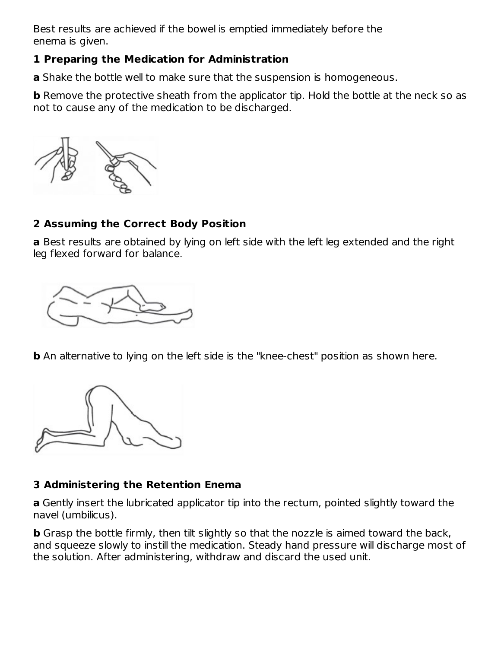Best results are achieved if the bowel is emptied immediately before the enema is given.

### **1 Preparing the Medication for Administration**

**a** Shake the bottle well to make sure that the suspension is homogeneous.

**b** Remove the protective sheath from the applicator tip. Hold the bottle at the neck so as not to cause any of the medication to be discharged.



### **2 Assuming the Correct Body Position**

**a** Best results are obtained by lying on left side with the left leg extended and the right leg flexed forward for balance.



**b** An alternative to lying on the left side is the "knee-chest" position as shown here.



### **3 Administering the Retention Enema**

**a** Gently insert the lubricated applicator tip into the rectum, pointed slightly toward the navel (umbilicus).

**b** Grasp the bottle firmly, then tilt slightly so that the nozzle is aimed toward the back, and squeeze slowly to instill the medication. Steady hand pressure will discharge most of the solution. After administering, withdraw and discard the used unit.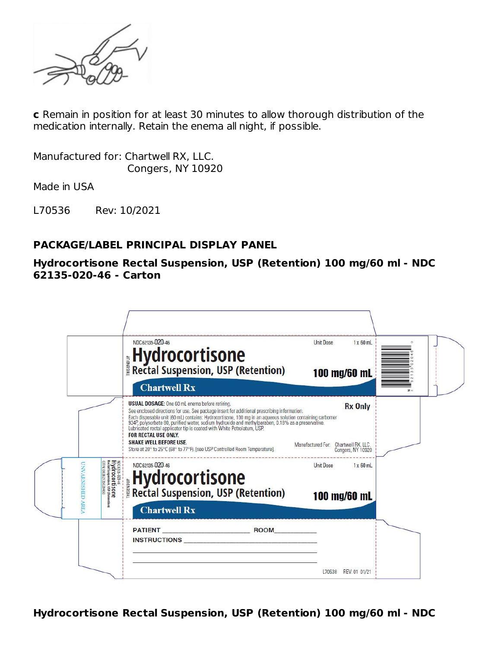

**c** Remain in position for at least 30 minutes to allow thorough distribution of the medication internally. Retain the enema all night, if possible.

Manufactured for: Chartwell RX, LLC. Congers, NY 10920

Made in USA

L70536 Rev: 10/2021

#### **PACKAGE/LABEL PRINCIPAL DISPLAY PANEL**

**Hydrocortisone Rectal Suspension, USP (Retention) 100 mg/60 ml - NDC 62135-020-46 - Carton**

|                                                                                                                                      | NDC 62135-020-46<br>Hydrocortisone                                                                                                                                                                                                                                                                                                                                                                                                                                                                                                                                                             | <b>Unit Dose</b><br>1x60mL<br>100 mg/60 mL                                  |
|--------------------------------------------------------------------------------------------------------------------------------------|------------------------------------------------------------------------------------------------------------------------------------------------------------------------------------------------------------------------------------------------------------------------------------------------------------------------------------------------------------------------------------------------------------------------------------------------------------------------------------------------------------------------------------------------------------------------------------------------|-----------------------------------------------------------------------------|
|                                                                                                                                      | <b>Chartwell Rx</b>                                                                                                                                                                                                                                                                                                                                                                                                                                                                                                                                                                            |                                                                             |
|                                                                                                                                      | <b>USUAL DOSAGE:</b> One 60 mL enema before retiring.<br>See enclosed directions for use. See package insert for additional prescribing information.<br>Each disposable unit (60 mL) contains: Hydrocortisone, 100 mg in an aqueous solution containing carbomer<br>934P, polysorbate 80, purified water, sodium hydroxide and methylparaben, 0.18% as a preservative.<br>Lubricated rectal applicator tip is coated with White Petrolatum, USP.<br><b>FOR RECTAL USE ONLY.</b><br><b>SHAKE WELL BEFORE USE.</b><br>Store at 20° to 25°C (68° to 77°F). [see USP Controlled Room Temperature]. | <b>Rx Only</b><br>Manufactured For: Chartwell RX, LLC.<br>Congers, NY 10920 |
| NDC 821 35-020-46<br><b>Hydi Yocorti Sone</b><br>Rectal Suspension, USP (Retention)<br>GIN: 00382135020460<br><b>MVARNISHED AREA</b> | NDC 62135-020-46<br>Hydrocortisone<br>Rectal Suspension, USP (Retention)<br><b>Chartwell Rx</b>                                                                                                                                                                                                                                                                                                                                                                                                                                                                                                | <b>Unit Dose</b><br>1x60mL<br>100 mg/60 mL                                  |
|                                                                                                                                      |                                                                                                                                                                                                                                                                                                                                                                                                                                                                                                                                                                                                |                                                                             |
|                                                                                                                                      | <b>INSTRUCTIONS</b>                                                                                                                                                                                                                                                                                                                                                                                                                                                                                                                                                                            |                                                                             |
|                                                                                                                                      |                                                                                                                                                                                                                                                                                                                                                                                                                                                                                                                                                                                                | L70538 REV. 01 01/21                                                        |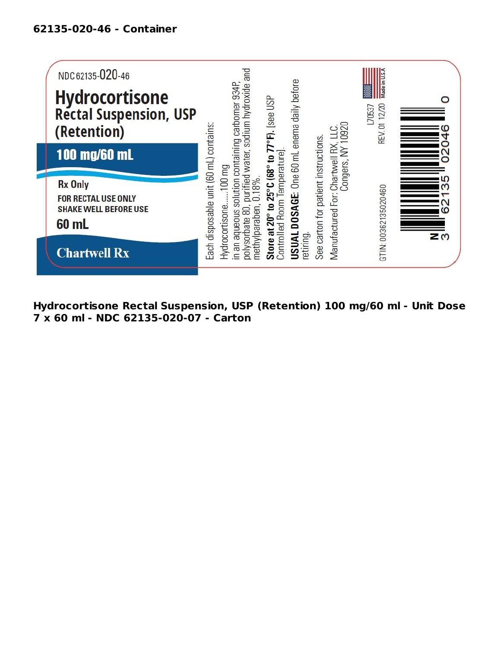| NDC 62135-020-46<br><b>Hydrocortisone</b><br>Rectal Suspension, USP<br>(Retention)<br>100 mg/60 mL           | containing carbomer 934P,<br>fied water, sodium hydroxide                                                                                                        | One 60 mL enema daily before<br>$^{\circ}$ C (68 $^{\circ}$ to $77^{\circ}$ F). [see USP                                          | LLC<br>0920<br>준                                                                 | Made in U.S.<br>REV. 01 12/20<br>L70537 | O                 |
|--------------------------------------------------------------------------------------------------------------|------------------------------------------------------------------------------------------------------------------------------------------------------------------|-----------------------------------------------------------------------------------------------------------------------------------|----------------------------------------------------------------------------------|-----------------------------------------|-------------------|
| <b>Rx Only</b><br><b>FOR RECTAL USE ONLY</b><br><b>SHAKE WELL BEFORE USE</b><br>60 mL<br><b>Chartwell Rx</b> | Each disposable unit (60 mL) contains<br>$100 \, \text{mg}$<br>solution<br>0.18%<br>puri<br>nethylparaben,<br>polysorbate 80,<br>Hydrocortisone.<br>n an aqueous | lemperature<br><b>DOSAGE:</b><br>Ř<br>Room<br>$\mathbf{e}$<br>$20^{\circ}$<br>Controlled<br>Store at<br><b>USUAL</b><br>retiring. | See carton for patient instructions<br>Manufactured For: Chartwell<br>Congers, l | GTIN: 00362135020460                    | o<br>$\mathbf{z}$ |

**Hydrocortisone Rectal Suspension, USP (Retention) 100 mg/60 ml - Unit Dose 7 x 60 ml - NDC 62135-020-07 - Carton**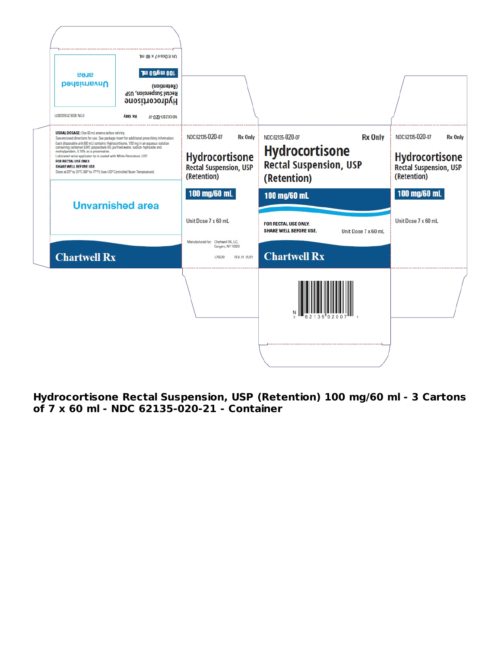

**Hydrocortisone Rectal Suspension, USP (Retention) 100 mg/60 ml - 3 Cartons of 7 x 60 ml - NDC 62135-020-21 - Container**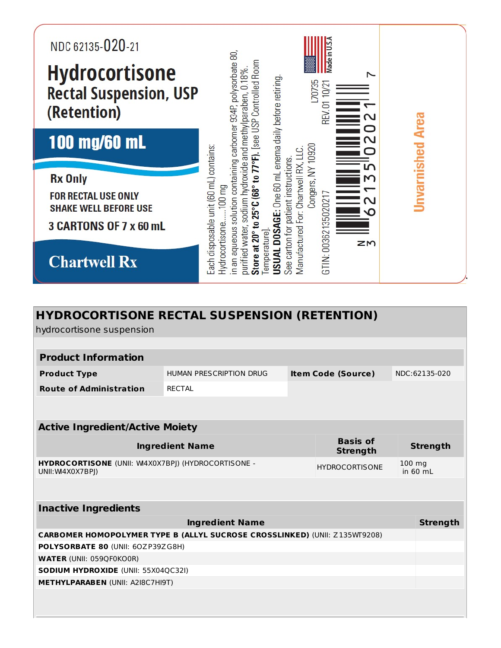| NDC 62135-020-21<br><b>Hydrocortisone</b><br>Rectal Suspension, USP<br>(Retention)                                            | Made in U.S.A<br>polysorbate 80,<br>N<br>170735<br>REV.01 10/21                                                                                                                                                                                                                                                                                                                                                                                             | Area      |
|-------------------------------------------------------------------------------------------------------------------------------|-------------------------------------------------------------------------------------------------------------------------------------------------------------------------------------------------------------------------------------------------------------------------------------------------------------------------------------------------------------------------------------------------------------------------------------------------------------|-----------|
| 100 mg/60 mL                                                                                                                  |                                                                                                                                                                                                                                                                                                                                                                                                                                                             |           |
| <b>Rx Only</b><br><b>FOR RECTAL USE ONLY</b><br><b>SHAKE WELL BEFORE USE</b><br>3 CARTONS OF 7 x 60 mL<br><b>Chartwell Rx</b> | Store at 20° to 25°C (68° to 77°F). [see USP Controlled Room<br>ourified water, sodium hydroxide and methylparaben, 0.18%.<br>USUAL DOSAGE: One 60 mL enema daily before retiring<br>n an aqueous solution containing carbomer 934P,<br>Congers, NY 10920<br>Each disposable unit (60 mL) contains:<br>Manufactured For: Chartwell RX, LLI<br>See carton for patient instructions<br>М<br>Hydrocortisone100 mg<br>GTIN: 00362135020217<br>lemperature<br>ZM | rarnished |

| <b>HYDROCORTISONE RECTAL SUSPENSION (RETENTION)</b><br>hydrocortisone suspension  |                         |  |                                    |                        |                 |  |
|-----------------------------------------------------------------------------------|-------------------------|--|------------------------------------|------------------------|-----------------|--|
|                                                                                   |                         |  |                                    |                        |                 |  |
| <b>Product Information</b>                                                        |                         |  |                                    |                        |                 |  |
| <b>Product Type</b>                                                               | HUMAN PRESCRIPTION DRUG |  | <b>Item Code (Source)</b>          |                        | NDC:62135-020   |  |
| <b>Route of Administration</b>                                                    | <b>RECTAL</b>           |  |                                    |                        |                 |  |
|                                                                                   |                         |  |                                    |                        |                 |  |
|                                                                                   |                         |  |                                    |                        |                 |  |
| <b>Active Ingredient/Active Moiety</b>                                            |                         |  |                                    |                        |                 |  |
|                                                                                   | <b>Ingredient Name</b>  |  | <b>Basis of</b><br><b>Strength</b> |                        | <b>Strength</b> |  |
| <b>HYDROCORTISONE</b> (UNII: W4X0X7BPI) (HYDROCORTISONE -<br>UNII: W4X0X7BPJ)     |                         |  | <b>HYDROCORTISONE</b>              | $100$ mg<br>in $60$ mL |                 |  |
|                                                                                   |                         |  |                                    |                        |                 |  |
| <b>Inactive Ingredients</b>                                                       |                         |  |                                    |                        |                 |  |
| <b>Ingredient Name</b>                                                            |                         |  |                                    |                        | <b>Strength</b> |  |
| <b>CARBOMER HOMOPOLYMER TYPE B (ALLYL SUCROSE CROSSLINKED) (UNII: Z135WT9208)</b> |                         |  |                                    |                        |                 |  |
| POLYSORBATE 80 (UNII: 60ZP39ZG8H)                                                 |                         |  |                                    |                        |                 |  |
| <b>WATER (UNII: 059QF0KO0R)</b>                                                   |                         |  |                                    |                        |                 |  |
| <b>SODIUM HYDROXIDE (UNII: 55X04QC32I)</b>                                        |                         |  |                                    |                        |                 |  |
| <b>METHYLPARABEN (UNII: A2I8C7HI9T)</b>                                           |                         |  |                                    |                        |                 |  |
|                                                                                   |                         |  |                                    |                        |                 |  |
|                                                                                   |                         |  |                                    |                        |                 |  |
|                                                                                   |                         |  |                                    |                        |                 |  |